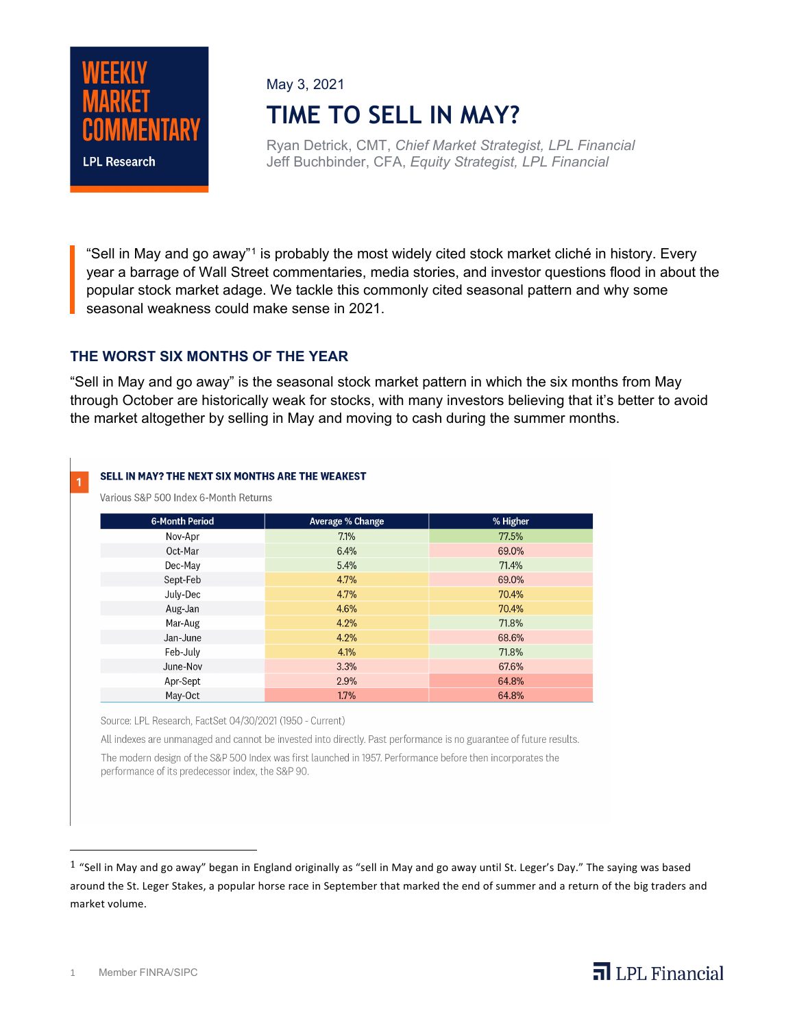

May 3, 2021

# **TIME TO SELL IN MAY?**

Ryan Detrick, CMT, *Chief Market Strategist, LPL Financial* Jeff Buchbinder, CFA, *Equity Strategist, LPL Financial*

"Sell in May and go away"<sup>[1](#page-0-0)</sup> is probably the most widely cited stock market cliché in history. Every year a barrage of Wall Street commentaries, media stories, and investor questions flood in about the popular stock market adage. We tackle this commonly cited seasonal pattern and why some seasonal weakness could make sense in 2021.

### **THE WORST SIX MONTHS OF THE YEAR**

"Sell in May and go away" is the seasonal stock market pattern in which the six months from May through October are historically weak for stocks, with many investors believing that it's better to avoid the market altogether by selling in May and moving to cash during the summer months.

### SELL IN MAY? THE NEXT SIX MONTHS ARE THE WEAKEST 1

Various S&P 500 Index 6-Month Returns

| <b>6-Month Period</b> | Average % Change | % Higher |
|-----------------------|------------------|----------|
| Nov-Apr               | 7.1%             | 77.5%    |
| Oct-Mar               | 6.4%             | 69.0%    |
| Dec-May               | 5.4%             | 71.4%    |
| Sept-Feb              | 4.7%             | 69.0%    |
| July-Dec              | 4.7%             | 70.4%    |
| Aug-Jan               | 4.6%             | 70.4%    |
| Mar-Aug               | 4.2%             | 71.8%    |
| Jan-June              | 4.2%             | 68.6%    |
| Feb-July              | 4.1%             | 71.8%    |
| June-Nov              | 3.3%             | 67.6%    |
| Apr-Sept              | 2.9%             | 64.8%    |
| May-Oct               | 1.7%             | 64.8%    |

Source: LPL Research, FactSet 04/30/2021 (1950 - Current)

All indexes are unmanaged and cannot be invested into directly. Past performance is no guarantee of future results.

The modern design of the S&P 500 Index was first launched in 1957. Performance before then incorporates the performance of its predecessor index, the S&P 90.

 $\overline{\mathbf{a}}$  LPL Financial

<span id="page-0-0"></span> $1$  "Sell in May and go away" began in England originally as "sell in May and go away until St. Leger's Day." The saying was based around the St. Leger Stakes, a popular horse race in September that marked the end of summer and a return of the big traders and market volume.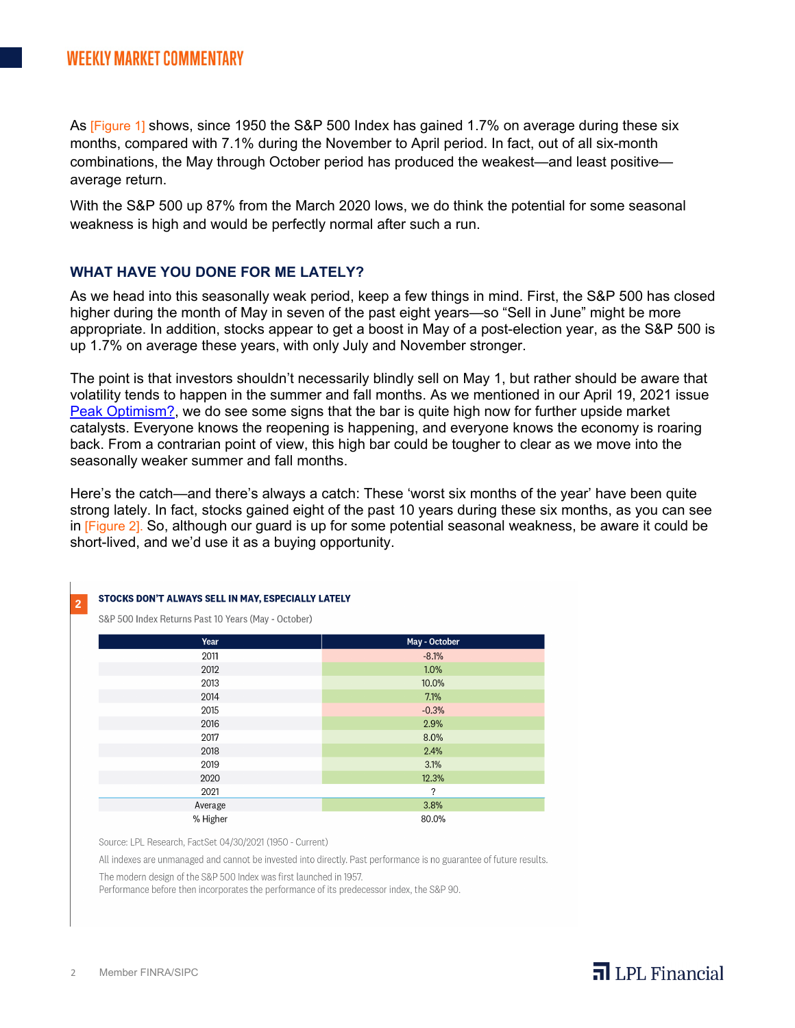As [Figure 1] shows, since 1950 the S&P 500 Index has gained 1.7% on average during these six months, compared with 7.1% during the November to April period. In fact, out of all six-month combinations, the May through October period has produced the weakest—and least positive average return.

With the S&P 500 up 87% from the March 2020 lows, we do think the potential for some seasonal weakness is high and would be perfectly normal after such a run.

### **WHAT HAVE YOU DONE FOR ME LATELY?**

As we head into this seasonally weak period, keep a few things in mind. First, the S&P 500 has closed higher during the month of May in seven of the past eight years—so "Sell in June" might be more appropriate. In addition, stocks appear to get a boost in May of a post-election year, as the S&P 500 is up 1.7% on average these years, with only July and November stronger.

The point is that investors shouldn't necessarily blindly sell on May 1, but rather should be aware that volatility tends to happen in the summer and fall months. As we mentioned in our April 19, 2021 issue [Peak Optimism?,](https://www.lpl.com/news-media/research-insights/weekly-market-commentary/peak-optimism-2021-reasons-why-with-tweaks.html) we do see some signs that the bar is quite high now for further upside market catalysts. Everyone knows the reopening is happening, and everyone knows the economy is roaring back. From a contrarian point of view, this high bar could be tougher to clear as we move into the seasonally weaker summer and fall months.

Here's the catch—and there's always a catch: These 'worst six months of the year' have been quite strong lately. In fact, stocks gained eight of the past 10 years during these six months, as you can see in [Figure 2]. So, although our guard is up for some potential seasonal weakness, be aware it could be short-lived, and we'd use it as a buying opportunity.

 $\overline{\mathbf{a}}$  LPL Financial

### STOCKS DON'T ALWAYS SELL IN MAY, ESPECIALLY LATELY

S&P 500 Index Returns Past 10 Years (May - October)

| Year     | May - October |
|----------|---------------|
| 2011     | $-8.1%$       |
| 2012     | 1.0%          |
| 2013     | 10.0%         |
| 2014     | 7.1%          |
| 2015     | $-0.3%$       |
| 2016     | 2.9%          |
| 2017     | 8.0%          |
| 2018     | 2.4%          |
| 2019     | 3.1%          |
| 2020     | 12.3%         |
| 2021     | ?             |
| Average  | 3.8%          |
| % Higher | 80.0%         |

Source: LPL Research, FactSet 04/30/2021 (1950 - Current)

All indexes are unmanaged and cannot be invested into directly. Past performance is no guarantee of future results.

The modern design of the S&P 500 Index was first launched in 1957.

Performance before then incorporates the performance of its predecessor index, the S&P 90.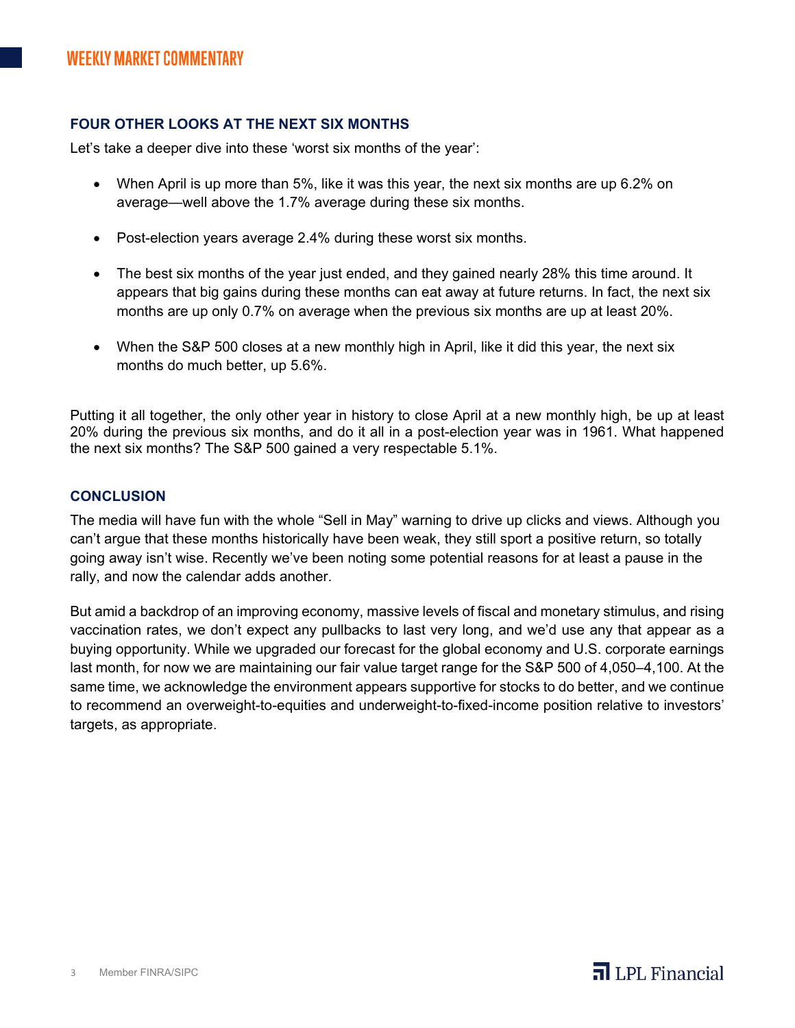## **FOUR OTHER LOOKS AT THE NEXT SIX MONTHS**

Let's take a deeper dive into these 'worst six months of the year':

- When April is up more than 5%, like it was this year, the next six months are up 6.2% on average—well above the 1.7% average during these six months.
- Post-election years average 2.4% during these worst six months.
- The best six months of the year just ended, and they gained nearly 28% this time around. It appears that big gains during these months can eat away at future returns. In fact, the next six months are up only 0.7% on average when the previous six months are up at least 20%.
- When the S&P 500 closes at a new monthly high in April, like it did this year, the next six months do much better, up 5.6%.

Putting it all together, the only other year in history to close April at a new monthly high, be up at least 20% during the previous six months, and do it all in a post-election year was in 1961. What happened the next six months? The S&P 500 gained a very respectable 5.1%.

### **CONCLUSION**

The media will have fun with the whole "Sell in May" warning to drive up clicks and views. Although you can't argue that these months historically have been weak, they still sport a positive return, so totally going away isn't wise. Recently we've been noting some potential reasons for at least a pause in the rally, and now the calendar adds another.

But amid a backdrop of an improving economy, massive levels of fiscal and monetary stimulus, and rising vaccination rates, we don't expect any pullbacks to last very long, and we'd use any that appear as a buying opportunity. While we upgraded our forecast for the global economy and U.S. corporate earnings last month, for now we are maintaining our fair value target range for the S&P 500 of 4,050–4,100. At the same time, we acknowledge the environment appears supportive for stocks to do better, and we continue to recommend an overweight-to-equities and underweight-to-fixed-income position relative to investors' targets, as appropriate.

 $\overline{\mathbf{a}}$  LPL Financial